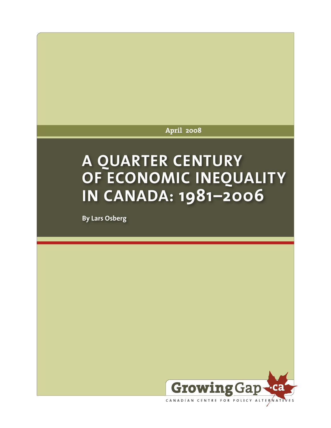**April 2008**

# **A QUARTER CENTURY OF ECONOMIC INEQUALITY IN CANADA: 1981–2006**

**By Lars Osberg**



CANADIAN CENTRE FOR POLICY ALTERNATIVES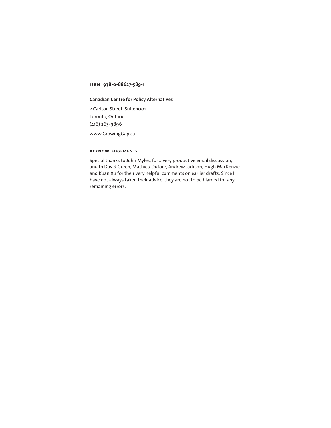**isbn 978-0-88627-589-1**

### **Canadian Centre for Policy Alternatives**

2 Carlton Street, Suite 1001 Toronto, Ontario (416) 263-9896 <www.GrowingGap.ca>

### **acknowledgements**

Special thanks to John Myles, for a very productive email discussion, and to David Green, Mathieu Dufour, Andrew Jackson, Hugh MacKenzie and Kuan Xu for their very helpful comments on earlier drafts. Since I have not always taken their advice, they are not to be blamed for any remaining errors.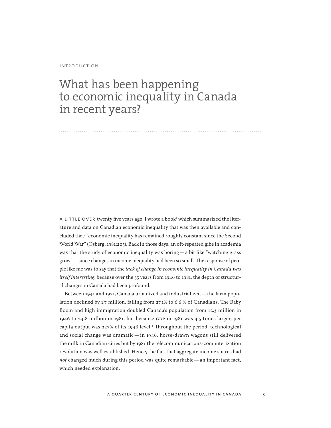#### introduction

# What has been happening to economic inequality in Canada in recent years?

A LITTLE OVER twenty five years ago, I wrote a book<sup>1</sup> which summarized the literature and data on Canadian economic inequality that was then available and concluded that: "economic inequality has remained roughly constant since the Second World War" (Osberg, 1981:205). Back in those days, an oft-repeated gibe in academia was that the study of economic inequality was boring—a bit like "watching grass grow"—since changes in income inequality had been so small. The response of people like me was to say that the *lack of change in economic inequality in Canada was itself interesting*, because over the 35 years from 1946 to 1981, the depth of structural changes in Canada had been profound.

Between 1941 and 1971, Canada urbanized and industrialized—the farm population declined by 1.7 million, falling from 27.1% to 6.6 % of Canadians. The Baby Boom and high immigration doubled Canada's population from 12.3 million in 1946 to 24.8 million in 1981, but because GDP in 1981 was 4.5 times larger, per capita output was 227% of its 1946 level.<sup>2</sup> Throughout the period, technological and social change was dramatic — in 1946, horse-drawn wagons still delivered the milk in Canadian cities but by 1981 the telecommunications-computerization revolution was well established. Hence, the fact that aggregate income shares had *not* changed much during this period was quite remarkable—an important fact, which needed explanation.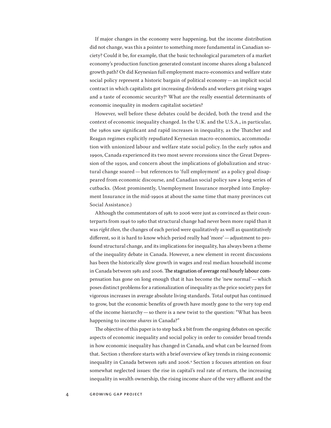If major changes in the economy were happening, but the income distribution did not change, was this a pointer to something more fundamental in Canadian society? Could it be, for example, that the basic technological parameters of a market economy's production function generated constant income shares along a balanced growth path? Or did Keynesian full employment macro-economics and welfare state social policy represent a historic bargain of political economy—an implicit social contract in which capitalists got increasing dividends and workers got rising wages and a taste of economic security?<sup>3</sup> What are the really essential determinants of economic inequality in modern capitalist societies?

However, well before these debates could be decided, both the trend and the context of economic inequality changed. In the U.K. and the U.S.A., in particular, the 1980s saw significant and rapid increases in inequality, as the Thatcher and Reagan regimes explicitly repudiated Keynesian macro-economics, accommodation with unionized labour and welfare state social policy. In the early 1980s and 1990s, Canada experienced its two most severe recessions since the Great Depression of the 1930s, and concern about the implications of globalization and structural change soared—but references to 'full employment' as a policy goal disappeared from economic discourse, and Canadian social policy saw a long series of cutbacks. (Most prominently, Unemployment Insurance morphed into Employment Insurance in the mid-1990s at about the same time that many provinces cut Social Assistance.)

Although the commentators of 1981 to 2006 were just as convinced as their counterparts from 1946 to 1980 that structural change had never been more rapid than it was *right then*, the changes of each period were qualitatively as well as quantitatively different, so it is hard to know which period really had 'more'—adjustment to profound structural change, and its implications for inequality, has always been a theme of the inequality debate in Canada. However, a new element in recent discussions has been the historically slow growth in wages and real median household income in Canada between 1981 and 2006. The stagnation of average real hourly labour compensation has gone on long enough that it has become the 'new normal'—which poses distinct problems for a rationalization of inequality as the price society pays for vigorous increases in average absolute living standards. Total output has continued to grow, but the economic benefits of growth have mostly gone to the very top end of the income hierarchy—so there is a new twist to the question: "What has been happening to income *shares* in Canada?"

The objective of this paper is to step back a bit from the ongoing debates on specific aspects of economic inequality and social policy in order to consider broad trends in how economic inequality has changed in Canada, and what can be learned from that. Section 1 therefore starts with a brief overview of key trends in rising economic inequality in Canada between 1981 and 2006.<sup>4</sup> Section 2 focuses attention on four somewhat neglected issues: the rise in capital's real rate of return, the increasing inequality in wealth ownership, the rising income share of the very affluent and the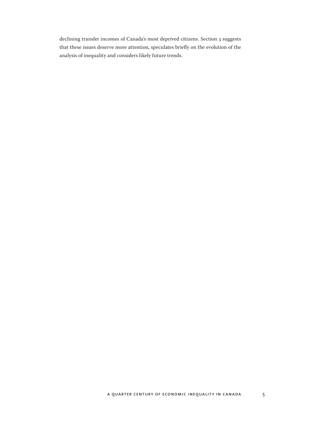declining transfer incomes of Canada's most deprived citizens. Section 3 suggests that these issues deserve more attention, speculates briefly on the evolution of the analysis of inequality and considers likely future trends.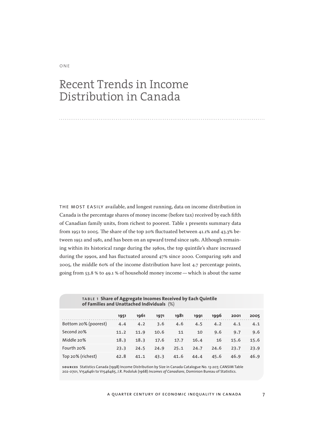# Recent Trends in Income Distribution in Canada

the most easily available, and longest running, data on income distribution in Canada is the percentage shares of money income (before tax) received by each fifth of Canadian family units, from richest to poorest. Table 1 presents summary data from 1951 to 2005. The share of the top 20% fluctuated between 41.1% and 43.3% between 1951 and 1981, and has been on an upward trend since 1981. Although remaining within its historical range during the 1980s, the top quintile's share increased during the 1990s, and has fluctuated around 47% since 2000. Comparing 1981 and 2005, the middle 60% of the income distribution have lost 4.7 percentage points, going from 53.8 % to 49.1 % of household money income—which is about the same

|                      | 1951 | 1961 | 1971 | 1981 | 1991 | 1996 | 2001 | 2005 |
|----------------------|------|------|------|------|------|------|------|------|
| Bottom 20% (poorest) | 4.4  | 4.2  | 3.6  | 4.6  | 4.5  | 4.2  | 4.1  | 4.1  |
| Second 20%           | 11.2 | 11.9 | 10.6 | 11   | 10   | 9.6  | 9.7  | 9.6  |
| Middle 20%           | 18.3 | 18.3 | 17.6 | 17.7 | 16.4 | 16   | 15.6 | 15.6 |
| Fourth 20%           | 23.3 | 24.5 | 24.9 | 25.1 | 24.7 | 24.6 | 23.7 | 23.9 |
| Top 20% (richest)    | 42.8 | 41.1 | 43.3 | 41.6 | 44.4 | 45.6 | 46.9 | 46.9 |

table 1 **Share of Aggregate Incomes Received by Each Quintile of Families and Unattached Individuals** (%)

**sources** Statistics Canada (1998) Income Distribution by Size in Canada Catalogue No. 13-207, CANSIM Table<br>202-0701, V1546461 to V1546465, J.R. Podoluk (1968) *Incomes of Canadians*, Dominion Bureau of Statistics.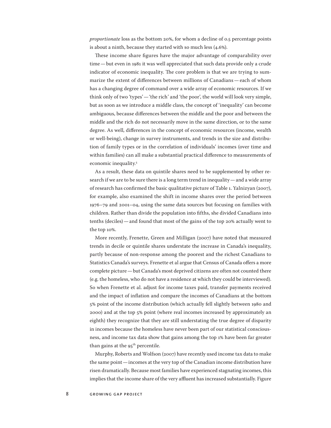*proportionate* loss as the bottom 20%, for whom a decline of 0.5 percentage points is about a ninth, because they started with so much less (4.6%).

These income share figures have the major advantage of comparability over time—but even in 1981 it was well appreciated that such data provide only a crude indicator of economic inequality. The core problem is that we are trying to summarize the extent of differences between millions of Canadians—each of whom has a changing degree of command over a wide array of economic resources. If we think only of two 'types'—'the rich' and 'the poor', the world will look very simple, but as soon as we introduce a middle class, the concept of 'inequality' can become ambiguous, because differences between the middle and the poor and between the middle and the rich do not necessarily move in the same direction, or to the same degree. As well, differences in the concept of economic resources (income, wealth or well-being), change in survey instruments, and trends in the size and distribution of family types or in the correlation of individuals' incomes (over time and within families) can all make a substantial practical difference to measurements of economic inequality.<sup>5</sup>

As a result, these data on quintile shares need to be supplemented by other research if we are to be sure there is a long term trend in inequality—and a wide array of research has confirmed the basic qualitative picture of Table 1. Yalnizyan (2007), for example, also examined the shift in income shares over the period between 1976–79 and 2001–04, using the same data sources but focusing on families with children. Rather than divide the population into fifths, she divided Canadians into tenths (deciles)—and found that most of the gains of the top 20% actually went to the top 10%.

More recently, Frenette, Green and Milligan (2007) have noted that measured trends in decile or quintile shares understate the increase in Canada's inequality, partly because of non-response among the poorest and the richest Canadians to Statistics Canada's surveys. Frenette et al argue that Census of Canada offers a more complete picture—but Canada's most deprived citizens are often not counted there (e.g. the homeless, who do not have a residence at which they could be interviewed). So when Frenette et al. adjust for income taxes paid, transfer payments received and the impact of inflation and compare the incomes of Canadians at the bottom 5% point of the income distribution (which actually fell slightly between 1980 and 2000) and at the top 5% point (where real incomes increased by approximately an eighth) they recognize that they are still understating the true degree of disparity in incomes because the homeless have never been part of our statistical consciousness, and income tax data show that gains among the top 1% have been far greater than gains at the  $95<sup>th</sup>$  percentile.

Murphy, Roberts and Wolfson (2007) have recently used income tax data to make the same point—incomes at the very top of the Canadian income distribution have risen dramatically. Because most families have experienced stagnating incomes, this implies that the income share of the very affluent has increased substantially. Figure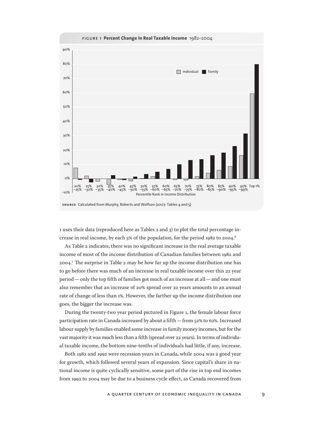

1 uses their data (reproduced here as Tables 2 and 3) to plot the total percentage increase in real income, by each 5% of the population, for the period 1982 to 2004.<sup>6</sup>

As Table 2 indicates, there was no significant increase in the real average taxable income of most of the income distribution of Canadian families between 1982 and 2004.<sup>7</sup> The surprise in Table 2 may be how far up the income distribution one has to go before there was much of an increase in real taxable income over this 22 year period—only the top fifth of families got much of an increase at all—and one must also remember that an increase of 20% spread over 22 years amounts to an annual rate of change of less than 1%. However, the farther up the income distribution one goes, the bigger the increase was.

During the twenty-two year period pictured in Figure 1, the female labour force participation rate in Canada increased by about a fifth—from 52% to 62%. Increased labour supply by families enabled some increase in family money incomes, but for the vast majority it was much less than a fifth (spread over 22 years). In terms of individual taxable income, the bottom nine-tenths of individuals had little, if any, increase.

Both 1982 and 1992 were recession years in Canada, while 2004 was a good year for growth, which followed several years of expansion. Since capital's share in national income is quite cyclically sensitive, some part of the rise in top end incomes from 1992 to 2004 may be due to a business cycle effect, as Canada recovered from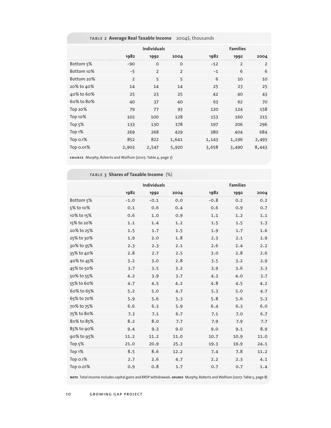### table 2 **Average Real Taxable Income** 2004\$, thousands

|            | <b>Individuals</b> |                |                |       | <b>Families</b> |       |  |  |
|------------|--------------------|----------------|----------------|-------|-----------------|-------|--|--|
|            | 1982               | 1992           | 2004           | 1982  | 1992            | 2004  |  |  |
| Bottom 5%  | $-90$              | $\mathsf{o}$   | $\mathsf{o}$   | $-12$ | $\overline{2}$  | 2     |  |  |
| Bottom 10% | $-5$               | $\overline{2}$ | $\overline{2}$ | $-1$  | 6               | 6     |  |  |
| Bottom 20% | $\overline{2}$     | 5              | 5              | 6     | 10              | 10    |  |  |
| 20% to 40% | 14                 | 14             | 14             | 25    | 23              | 25    |  |  |
| 40% to 60% | 25                 | 23             | 25             | 42    | 40              | 43    |  |  |
| 60% to 80% | 40                 | 37             | 40             | 63    | 62              | 70    |  |  |
| Top 20%    | 79                 | 77             | 93             | 120   | 124             | 158   |  |  |
| Top 10%    | 102                | 100            | 128            | 153   | 160             | 215   |  |  |
| Top $5%$   | 133                | 130            | 178            | 197   | 206             | 296   |  |  |
| Top 1%     | 269                | 268            | 429            | 380   | 404             | 684   |  |  |
| Top 0.1%   | 852                | 822            | 1,641          | 1,143 | 1,196           | 2,493 |  |  |
| Top 0.01%  | 2,903              | 2,547          | 5,920          | 3,658 | 3,490           | 8,443 |  |  |

**source** Murphy, Roberts and Wolfson (2007: Table 4, page 7)

|            | <b>Individuals</b> |        |      | <b>Families</b> |      |      |
|------------|--------------------|--------|------|-----------------|------|------|
|            | 1982               | 1992   | 2004 | 1982            | 1992 | 2004 |
| Bottom 5%  | $-1.0$             | $-0.1$ | 0.0  | $-0.8$          | 0.2  | 0.2  |
| 5% to 10%  | 0.1                | 0.6    | 0.4  | 0.6             | 0.9  | 0.7  |
| 10% to 15% | 0.6                | 1.0    | 0.9  | 1.1             | 1.2  | 1.1  |
| 15% to 20% | 1.1                | 1.4    | 1.2  | 1.5             | 1.5  | 1.3  |
| 20% to 25% | 1.5                | 1.7    | 1.5  | 1.9             | 1.7  | 1.6  |
| 25% to 30% | 1.9                | 2.0    | 1.8  | 2.3             | 2.1  | 1.9  |
| 30% to 35% | 2.3                | 2.3    | 2.1  | 2.6             | 2.4  | 2.2  |
| 35% to 40% | 2.8                | 2.7    | 2.5  | 3.0             | 2.8  | 2.6  |
| 40% to 45% | 3.2                | 3.0    | 2.8  | 3.5             | 3.2  | 2.9  |
| 45% to 50% | 3.7                | 3.5    | 3.2  | 3.9             | 3.6  | 3.3  |
| 50% to 55% | 4.2                | 3.9    | 3.7  | 4.3             | 4.0  | 3.7  |
| 55% to 60% | 4.7                | 4.5    | 4.2  | 4.8             | 4.5  | 4.2  |
| 60% to 65% | 5.2                | 5.0    | 4.7  | 5.3             | 5.0  | 4.7  |
| 65% to 70% | 5.9                | 5.6    | 5.3  | 5.8             | 5.6  | 5.3  |
| 70% to 75% | 6.6                | 6.3    | 5.9  | 6.4             | 6.3  | 6.0  |
| 75% to 80% | 7.3                | 7.1    | 6.7  | 7.1             | 7.0  | 6.7  |
| 80% to 85% | 8.2                | 8.0    | 7.7  | 7.9             | 7.9  | 7.7  |
| 85% to 90% | 9.4                | 9.3    | 9.0  | 9.0             | 9.1  | 8.9  |
| 90% to 95% | 11.2               | 11.2   | 11.0 | 10.7            | 10.9 | 11.0 |
| Top 5%     | 21.0               | 20.9   | 25.3 | 19.3            | 19.9 | 24.1 |
| Top 1%     | 8.5                | 8.6    | 12.2 | 7.4             | 7.8  | 11.2 |
| Top 0.1%   | 2.7                | 2.6    | 4.7  | 2.2             | 2.3  | 4.1  |
| Top 0.01%  | 0.9                | 0.8    | 1.7  | 0.7             | 0.7  | 1.4  |

table 3 **Shares of Taxable Income** (%)

**note** Total income includes capital gains and RRSP withdrawals. **source** Murphy, Roberts and Wolfson (2007: Table 5, page 8)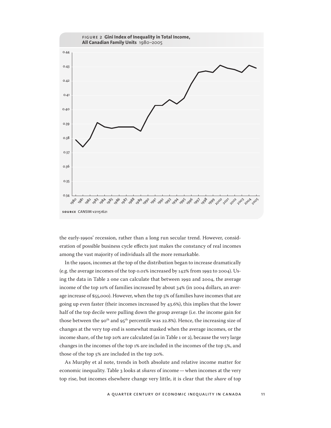

the early-1990s' recession, rather than a long run secular trend. However, consideration of possible business cycle effects just makes the constancy of real incomes among the vast majority of individuals all the more remarkable.

In the 1990s, incomes at the top of the distribution began to increase dramatically (e.g. the average incomes of the top 0.01% increased by 142% from 1992 to 2004). Using the data in Table 2 one can calculate that between 1992 and 2004, the average income of the top 10% of families increased by about 34% (in 2004 dollars, an average increase of \$55,000). However, when the top 5% of families have incomes that are going up even faster (their incomes increased by 43.6%), this implies that the lower half of the top decile were pulling down the group average (i.e. the income gain for those between the 90<sup>th</sup> and 95<sup>th</sup> percentile was 22.8%). Hence, the increasing size of changes at the very top end is somewhat masked when the average incomes, or the income share, of the top 20% are calculated (as in Table 1 or 2), because the very large changes in the incomes of the top 1% are included in the incomes of the top 5%, and those of the top 5% are included in the top 20%.

As Murphy et al note, trends in both absolute and relative income matter for economic inequality. Table 3 looks at *shares* of income—when incomes at the very top rise, but incomes elsewhere change very little, it is clear that the *share* of top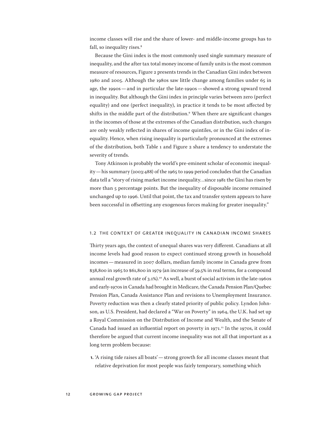income classes will rise and the share of lower- and middle-income groups has to fall, so inequality rises.<sup>8</sup>

Because the Gini index is the most commonly used single summary measure of inequality, and the after tax total money income of family units is the most common measure of resources, Figure 2 presents trends in the Canadian Gini index between 1980 and 2005. Although the 1980s saw little change among families under 65 in age, the 1990s—and in particular the late-1990s—showed a strong upward trend in inequality. But although the Gini index in principle varies between zero (perfect equality) and one (perfect inequality), in practice it tends to be most affected by shifts in the middle part of the distribution.<sup>9</sup> When there are significant changes in the incomes of those at the extremes of the Canadian distribution, such changes are only weakly reflected in shares of income quintiles, or in the Gini index of inequality. Hence, when rising inequality is particularly pronounced at the extremes of the distribution, both Table 1 and Figure 2 share a tendency to understate the severity of trends.

Tony Atkinson is probably the world's pre-eminent scholar of economic inequality—his summary (2003:488) of the 1965 to 1999 period concludes that the Canadian data tell a "story of rising market income inequality…since 1981 the Gini has risen by more than 5 percentage points. But the inequality of disposable income remained unchanged up to 1996. Until that point, the tax and transfer system appears to have been successful in offsetting any exogenous forces making for greater inequality."

### 1.2 the context of greater inequality in canadian income shares

Thirty years ago, the context of unequal shares was very different. Canadians at all income levels had good reason to expect continued strong growth in household incomes—measured in 2007 dollars, median family income in Canada grew from \$38,800 in 1965 to \$61,800 in 1979 (an increase of 59.5% in real terms, for a compound annual real growth rate of 3.1%).<sup>10</sup> As well, a burst of social activism in the late-1960s and early-1970s in Canada had brought in Medicare, the Canada Pension Plan/Quebec Pension Plan, Canada Assistance Plan and revisions to Unemployment Insurance. Poverty reduction was then a clearly stated priority of public policy. Lyndon Johnson, as U.S. President, had declared a "War on Poverty" in 1964, the U.K. had set up a Royal Commission on the Distribution of Income and Wealth, and the Senate of Canada had issued an influential report on poverty in 1971.<sup>11</sup> In the 1970s, it could therefore be argued that current income inequality was not all that important as a long term problem because:

**1.** 'A rising tide raises all boats'—strong growth for all income classes meant that relative deprivation for most people was fairly temporary, something which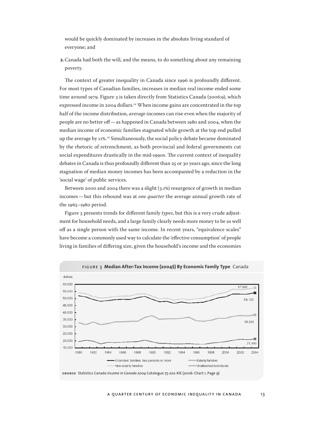would be quickly dominated by increases in the absolute living standard of everyone; and

**2.**Canada had both the will, and the means, to do something about any remaining poverty.

The context of greater inequality in Canada since 1996 is profoundly different. For most types of Canadian families, increases in median real income ended some time around 1979. Figure 3 is taken directly from Statistics Canada (2006:9), which expressed income in 2004 dollars.<sup>12</sup> When income gains are concentrated in the top half of the income distribution, *average* incomes can rise even when the majority of people are no better off—as happened in Canada between 1980 and 2004, when the median income of economic families stagnated while growth at the top end pulled up the average by  $11\%$ .<sup>13</sup> Simultaneously, the social policy debate became dominated by the rhetoric of retrenchment, as both provincial and federal governments cut social expenditures drastically in the mid-1990s. The current context of inequality debates in Canada is thus profoundly different than 25 or 30 years ago, since the long stagnation of median money incomes has been accompanied by a reduction in the 'social wage' of public services.

Between 2000 and 2004 there was a slight (3.1%) resurgence of growth in median incomes—but this rebound was at *one quarter* the average annual growth rate of the 1965–1980 period.

Figure 3 presents trends for different family *types*, but this is a very crude adjustment for household needs, and a large family clearly needs more money to be as well off as a single person with the same income. In recent years, "equivalence scales" have become a commonly used way to calculate the 'effective consumption' of people living in families of differing size, given the household's income and the economies

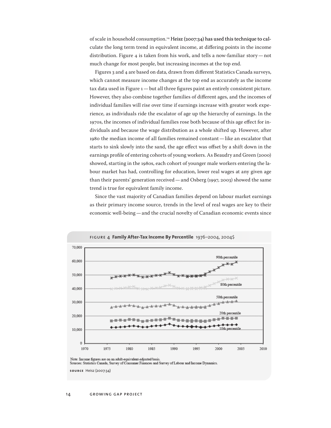of scale in household consumption.<sup>14</sup> Heisz (2007:34) has used this technique to calculate the long term trend in equivalent income, at differing points in the income distribution. Figure 4 is taken from his work, and tells a now-familiar story—not much change for most people, but increasing incomes at the top end.

Figures 3 and 4 are based on data, drawn from different Statistics Canada surveys, which cannot measure income changes at the top end as accurately as the income tax data used in Figure 1—but all three figures paint an entirely consistent picture. However, they also combine together families of different ages, and the incomes of individual families will rise over time if earnings increase with greater work experience, as individuals ride the escalator of age up the hierarchy of earnings. In the 1970s, the incomes of individual families rose both because of this age effect for individuals and because the wage distribution as a whole shifted up. However, after 1980 the median income of all families remained constant—like an escalator that starts to sink slowly into the sand, the age effect was offset by a shift down in the earnings profile of entering cohorts of young workers. As Beaudry and Green (2000) showed, starting in the 1980s, each cohort of younger male workers entering the labour market has had, controlling for education, lower real wages at any given age than their parents' generation received—and Osberg (1997, 2003) showed the same trend is true for equivalent family income.

Since the vast majority of Canadian families depend on labour market earnings as their primary income source, trends in the level of real wages are key to their economic well-being—and the crucial novelty of Canadian economic events since





Note: Income figures are on an adult-equivalent-adjusted basis.

Sources: Statistics Canada, Survey of Consumer Finances and Survey of Labour and Income Dynamics.

**source** Heisz (2007:34)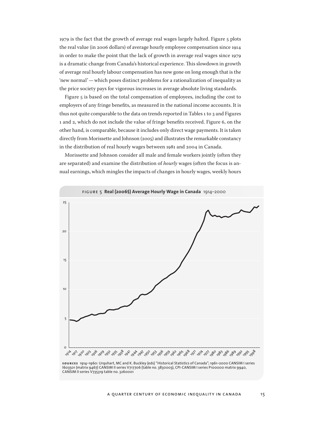1979 is the fact that the growth of average real wages largely halted. Figure 5 plots the real value (in 2006 dollars) of average hourly employee compensation since 1914 in order to make the point that the lack of growth in average real wages since 1979 is a dramatic change from Canada's historical experience. This slowdown in growth of average real hourly labour compensation has now gone on long enough that is the 'new normal'—which poses distinct problems for a rationalization of inequality as the price society pays for vigorous increases in average absolute living standards.

Figure 5 is based on the total compensation of employees, including the cost to employers of any fringe benefits, as measured in the national income accounts. It is thus not quite comparable to the data on trends reported in Tables 1 to 3 and Figures 1 and 2, which do not include the value of fringe benefits received. Figure 6, on the other hand, is comparable, because it includes only direct wage payments. It is taken directly from Morissette and Johnson (2005) and illustrates the remarkable constancy in the distribution of real hourly wages between 1981 and 2004 in Canada.

Morissette and Johnson consider all male and female workers jointly (often they are separated) and examine the distribution of *hourly* wages (often the focus is annual earnings, which mingles the impacts of changes in hourly wages, weekly hours



**sources** 1914–1960: Urquhart, MC and K. Buckley (eds) "Historical Statistics of Canada"; 1961–2000 CANSIM I series I603501 (matrix 9467) CANSIM II series V717706 (table no. 3830003), CPI-CANSIM I series P100000 matrix 9940, CANSIM II series V735319 table no. 3260001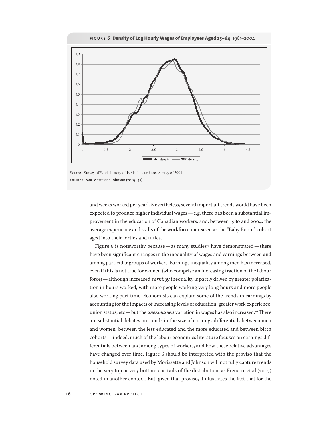

figure 6 **Density of Log Hourly Wages of Employees Aged 25–64** 1981–2004

Source: Survey of Work History of 1981; Labour Force Survey of 2004. **source** Morissette and Johnson (2005: 42)

> and weeks worked per year). Nevertheless, several important trends would have been expected to produce higher individual wages—e.g. there has been a substantial improvement in the education of Canadian workers, and, between 1980 and 2004, the average experience and skills of the workforce increased as the "Baby Boom" cohort aged into their forties and fifties.

> Figure 6 is noteworthy because — as many studies<sup>15</sup> have demonstrated — there have been significant changes in the inequality of wages and earnings between and among particular groups of workers. Earnings inequality among men has increased, even if this is not true for women (who comprise an increasing fraction of the labour force)—although increased *earnings* inequality is partly driven by greater polarization in hours worked, with more people working very long hours and more people also working part time. Economists can explain some of the trends in earnings by accounting for the impacts of increasing levels of education, greater work experience, union status, etc—but the *unexplained* variation in wages has also increased.<sup>16</sup> There are substantial debates on trends in the size of earnings differentials between men and women, between the less educated and the more educated and between birth cohorts—indeed, much of the labour economics literature focuses on earnings differentials between and among types of workers, and how these relative advantages have changed over time. Figure 6 should be interpreted with the proviso that the household survey data used by Morissette and Johnson will not fully capture trends in the very top or very bottom end tails of the distribution, as Frenette et al (2007) noted in another context. But, given that proviso, it illustrates the fact that for the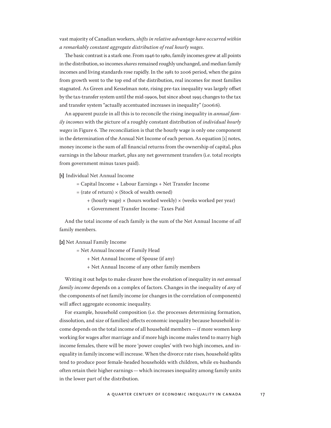vast majority of Canadian workers, *shifts in relative advantage have occurred within a remarkably constant aggregate distribution of real hourly wages*.

The basic contrast is a stark one. From 1946 to 1980, family incomes grew at all points in the distribution, so incomes *shares* remained roughly unchanged, and median family incomes and living standards rose rapidly. In the 1981 to 2006 period, when the gains from growth went to the top end of the distribution, real incomes for most families stagnated. As Green and Kesselman note, rising pre-tax inequality was largely offset by the tax-transfer system until the mid-1990s, but since about 1995 changes to the tax and transfer system "actually accentuated increases in inequality" (2006:6).

An apparent puzzle in all this is to reconcile the rising inequality in *annual family incomes* with the picture of a roughly constant distribution of *individual hourly wages* in Figure 6. The reconciliation is that the hourly wage is only one component in the determination of the Annual Net Income of each person. As equation [1] notes, money income is the sum of all financial returns from the ownership of capital, plus earnings in the labour market, plus any net government transfers (i.e. total receipts from government minus taxes paid).

**[1]** Individual Net Annual Income

- = Capital Income + Labour Earnings + Net Transfer Income
- $=$  (rate of return)  $\times$  (Stock of wealth owned)
	- + (hourly wage) × (hours worked weekly) × (weeks worked per year)
	- + Government Transfer Income -Taxes Paid

And the total income of each family is the sum of the Net Annual Income of *all* family members.

**[2]** Net Annual Family Income

= Net Annual Income of Family Head

- + Net Annual Income of Spouse (if any)
- + Net Annual Income of any other family members

Writing it out helps to make clearer how the evolution of inequality in *net annual family income* depends on a complex of factors. Changes in the inequality of *any* of the components of net family income (or changes in the correlation of components) will affect aggregate economic inequality.

For example, household composition (i.e. the processes determining formation, dissolution, and size of families) affects economic inequality because household income depends on the total income of all household members—if more women keep working for wages after marriage and if more high income males tend to marry high income females, there will be more 'power couples' with two high incomes, and inequality in family income will increase. When the divorce rate rises, household splits tend to produce poor female-headed households with children, while ex-husbands often retain their higher earnings—which increases inequality among family units in the lower part of the distribution.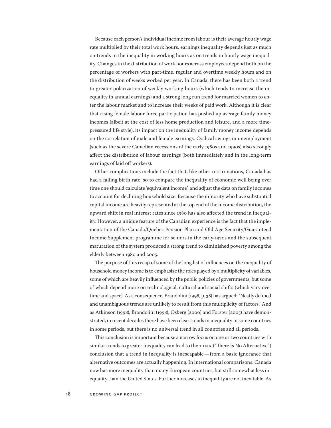Because each person's individual income from labour is their average hourly wage rate multiplied by their total work hours, earnings inequality depends just as much on trends in the inequality in working hours as on trends in hourly wage inequality. Changes in the distribution of work hours across employees depend both on the percentage of workers with part-time, regular and overtime weekly hours and on the distribution of weeks worked per year. In Canada, there has been both a trend to greater polarization of weekly working hours (which tends to increase the inequality in annual earnings) and a strong long run trend for married women to enter the labour market and to increase their weeks of paid work. Although it is clear that rising female labour force participation has pushed up average family money incomes (albeit at the cost of less home production and leisure, and a more timepressured life style), its impact on the inequality of family money income depends on the correlation of male and female earnings. Cyclical swings in unemployment (such as the severe Canadian recessions of the early 1980s and 1990s) also strongly affect the distribution of labour earnings (both immediately and in the long-term earnings of laid off workers).

Other complications include the fact that, like other OECD nations, Canada has had a falling birth rate, so to compare the inequality of economic well being over time one should calculate 'equivalent income', and adjust the data on family incomes to account for declining household size. Because the minority who have substantial capital income are heavily represented at the top end of the income distribution, the upward shift in real interest rates since 1980 has also affected the trend in inequality. However, a unique feature of the Canadian experience is the fact that the implementation of the Canada/Quebec Pension Plan and Old Age Security/Guaranteed Income Supplement programme for seniors in the early-1970s and the subsequent maturation of the system produced a strong trend to diminished poverty among the elderly between 1980 and 2005.

The purpose of this recap of some of the long list of influences on the inequality of household money income is to emphasize the roles played by a multiplicity of variables, some of which are heavily influenced by the public policies of governments, but some of which depend more on technological, cultural and social shifts (which vary over time and space). As a consequence, Brandolini (1998, p. 38) has argued: `Neatly defined and unambiguous trends are unlikely to result from this multiplicity of factors.' And as Atkinson (1998), Brandolini (1998), Osberg (2000) and Forster (2005) have demonstrated, in recent decades there have been clear trends in inequality in some countries in some periods, but there is no universal trend in all countries and all periods.

This conclusion is important because a narrow focus on one or two countries with similar trends to greater inequality can lead to the TINA ("There Is No Alternative") conclusion that a trend in inequality is inescapable—from a basic ignorance that alternative outcomes are actually happening. In international comparisons, Canada now has more inequality than many European countries, but still somewhat less inequality than the United States. Further increases in inequality are not inevitable. As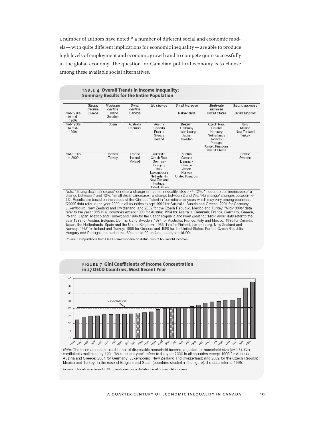a number of authors have noted,<sup>17</sup> a number of different social and economic models—with quite different implications for economic inequality—are able to produce high levels of employment and economic growth and to compete quite successfully in the global economy. The question for Canadian political economy is to choose among these available social alternatives.

|                               | Strong<br>decline | Moderate<br>decline | <b>Small</b><br>decline     | No change                                                                                                                        | Small increase                                                              | Moderate<br>increase                                                                                            | Strong increase                          |
|-------------------------------|-------------------|---------------------|-----------------------------|----------------------------------------------------------------------------------------------------------------------------------|-----------------------------------------------------------------------------|-----------------------------------------------------------------------------------------------------------------|------------------------------------------|
| Mid-1970s<br>to mid-<br>1980s | Greece            | Finland<br>Sweden   | Canada                      |                                                                                                                                  | Netherlands                                                                 | United States                                                                                                   | United Kingdom                           |
| Mid-1980s<br>to mid-<br>1990s |                   | Spain               | Australia<br>Denmark        | Austria<br>Canada<br>France<br>Greece<br>Ireland                                                                                 | Belgium<br>Germany<br>Luxembourg<br>Japan<br>Sweden                         | Czech Rep.<br>Finland<br>Hungary<br>Netherlands<br>Norway<br>Portugal<br>United Kingdom<br><b>United States</b> | Italy<br>Mexico<br>New Zealand<br>Turkey |
| Mid-1990s<br>to 2000          |                   | Mexico<br>Turkey    | France<br>Ireland<br>Poland | Australia<br>Czech Rep.<br>Germany<br>Hungary<br>Italy<br>Luxembourg<br>Netherlands<br>New Zealand<br>Portugal<br>Linitad States | Austria<br>Canada<br>Denmark<br>Greece<br>Japan<br>Norway<br>United Kingdom |                                                                                                                 | Finland<br>Sweden                        |

### table 4 **Overall Trends in Income Inequality: Summary Results for the Entire Population**

Note: "Strong decline/increase" denotes a change in income inequality above +/- 12%; "moderate decline/increase" a<br>change between 7 and 12%; "small decline/increase " a change between 2 and 7%; "No change" changes between 2%. Results are based on the values of the Gini coefficient in four reference years which may vary among countries. "2000" data refer to the year 2000 in all countries except 1999 for Australia, Austria and Greece; 2001 for Germany, Luxembourg, New Zealand and Switzerland; and 2002 for the Czech Republic, Mexico and Turkey; "Mid-1990s" data refer to the year 1995 in all countries except 1993 for Austria; 1994 for Australia, Denmark, France, Germany, Greece, Ireland, Japan, Mexico and Turkey; and 1996 for the Czech Republic and New Zealand; "Mid-1980s" data refer to the year 1983 for Austria, Belgium, Denmark and Sweden; 1984 for Australia, France, Italy and Mexico; 1985 for Canada, Japan, the Netherlands, Spain and the United Kingdom; 1986 data for Finland, Luxembourg, New Zealand and Japan, the Netherlands, Spain and the United Kingdom; 1986 data for Finland, Luxembourg, New Zealand and began, we ven the light of the United States. The United States. For the Czech Republic,<br>Norway: 1987 for Ireland and Turkey; 1988 for Greece; and 1989 for the United States. For the Czech Republic,<br>Hungary and Portugal, t

Source: Computations from OECD questionnaire on distribution of household incomes.



Note: The income concept used is that of disposable household income, adjusted for household size (e=0.5). Gini coefficients multiplied by 100. "Most recent year" refers to the year 2000 in all countries except 1999 for Australia, Austria and Greece; 2001 for Germany, Luxembourg, New Zealand and Switzerland; and 2002 for the Czech Republic, Mexico and Turkey; In the case of Belgium and Spain (countries shaded in the figure), the data refer to 1995.

Source: Calculations from OECD questionnaire on distribution of household incomes.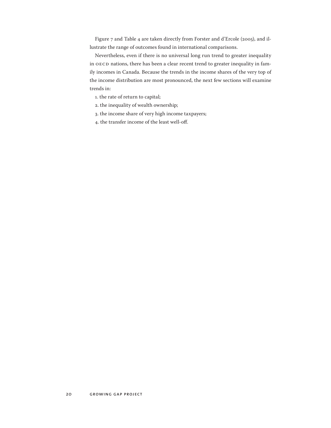Figure 7 and Table 4 are taken directly from Forster and d'Ercole (2005), and illustrate the range of outcomes found in international comparisons.

Nevertheless, even if there is no universal long run trend to greater inequality in OECD nations, there has been a clear recent trend to greater inequality in family incomes in Canada. Because the trends in the income shares of the very top of the income distribution are most pronounced, the next few sections will examine trends in:

- 1. the rate of return to capital;
- 2. the inequality of wealth ownership;
- 3. the income share of very high income taxpayers;
- 4. the transfer income of the least well-off.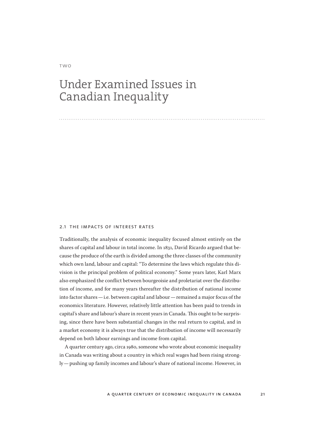### two

# Under Examined Issues in Canadian Inequality

#### 2.1 the impacts of interest rates

Traditionally, the analysis of economic inequality focused almost entirely on the shares of capital and labour in total income. In 1831, David Ricardo argued that because the produce of the earth is divided among the three classes of the community which own land, labour and capital: "To determine the laws which regulate this division is the principal problem of political economy." Some years later, Karl Marx also emphasized the conflict between bourgeoisie and proletariat over the distribution of income, and for many years thereafter the distribution of national income into factor shares—i.e. between capital and labour—remained a major focus of the economics literature. However, relatively little attention has been paid to trends in capital's share and labour's share in recent years in Canada. This ought to be surprising, since there have been substantial changes in the real return to capital, and in a market economy it is always true that the distribution of income will necessarily depend on both labour earnings and income from capital.

A quarter century ago, circa 1980, someone who wrote about economic inequality in Canada was writing about a country in which real wages had been rising strongly—pushing up family incomes and labour's share of national income. However, in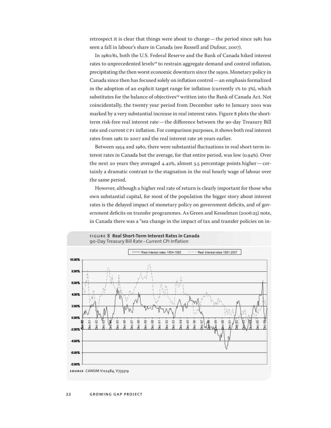retrospect it is clear that things were about to change—the period since 1981 has seen a fall in labour's share in Canada (see Russell and Dufour, 2007).

In 1980/81, both the U.S. Federal Reserve and the Bank of Canada hiked interest rates to unprecedented levels<sup>18</sup> to restrain aggregate demand and control inflation, precipitating the then worst economic downturn since the 1930s. Monetary policy in Canada since then has focused solely on inflation control—an emphasis formalized in the adoption of an explicit target range for inflation (currently 1% to 3%), which substitutes for the balance of objectives<sup>19</sup> written into the Bank of Canada Act. Not coincidentally, the twenty year period from December 1980 to January 2001 was marked by a very substantial increase in real interest rates. Figure 8 plots the shortterm risk-free real interest rate—the difference between the 90-day Treasury Bill rate and current CPI inflation. For comparison purposes, it shows both real interest rates from 1981 to 2007 and the real interest rate 26 years earlier.

Between 1954 and 1980, there were substantial fluctuations in real short-term interest rates in Canada but the average, for that entire period, was low (0.94%). Over the next 20 years they averaged 4.42%, almost 3.5 percentage points higher—certainly a dramatic contrast to the stagnation in the real hourly wage of labour over the same period.

However, although a higher real rate of return is clearly important for those who own substantial capital, for most of the population the bigger story about interest rates is the delayed impact of monetary policy on government deficits, and of government deficits on transfer programmes. As Green and Kesselman (2006:25) note, in Canada there was a "sea change in the impact of tax and transfer policies on in-

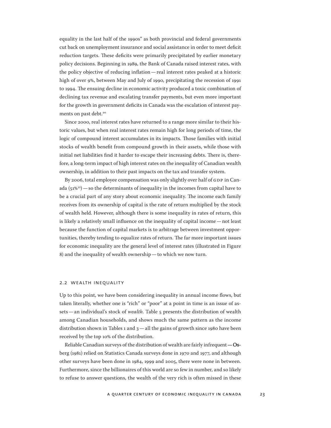equality in the last half of the 1990s" as both provincial and federal governments cut back on unemployment insurance and social assistance in order to meet deficit reduction targets. These deficits were primarily precipitated by earlier monetary policy decisions. Beginning in 1989, the Bank of Canada raised interest rates, with the policy objective of reducing inflation—real interest rates peaked at a historic high of over 9%, between May and July of 1990, precipitating the recession of 1991 to 1994. The ensuing decline in economic activity produced a toxic combination of declining tax revenue and escalating transfer payments, but even more important for the growth in government deficits in Canada was the escalation of interest payments on past debt.<sup>20</sup>

Since 2000, real interest rates have returned to a range more similar to their historic values, but when real interest rates remain high for long periods of time, the logic of compound interest accumulates in its impacts. Those families with initial stocks of wealth benefit from compound growth in their assets, while those with initial net liabilities find it harder to escape their increasing debts. There is, therefore, a long-term impact of high interest rates on the inequality of Canadian wealth ownership, in addition to their past impacts on the tax and transfer system.

By 2006, total employee compensation was only slightly over half of GDP in Canada  $(51\%)$  — so the determinants of inequality in the incomes from capital have to be a crucial part of any story about economic inequality. The income each family receives from its ownership of capital is the rate of return multiplied by the stock of wealth held. However, although there is some inequality in rates of return, this is likely a relatively small influence on the inequality of capital income—not least because the function of capital markets is to arbitrage between investment opportunities, thereby tending to equalize rates of return. The far more important issues for economic inequality are the general level of interest rates (illustrated in Figure 8) and the inequality of wealth ownership—to which we now turn.

### 2.2 wealth inequality

Up to this point, we have been considering inequality in annual income flows, but taken literally, whether one is "rich" or "poor" at a point in time is an issue of assets—an individual's stock of *wealth*. Table 5 presents the distribution of wealth among Canadian households, and shows much the same pattern as the income distribution shown in Tables 1 and  $3$  — all the gains of growth since 1980 have been received by the top 10% of the distribution.

Reliable Canadian surveys of the distribution of wealth are fairly infrequent  $-$  Osberg (1981) relied on Statistics Canada surveys done in 1970 and 1977, and although other surveys have been done in 1984, 1999 and 2005, there were none in between. Furthermore, since the billionaires of this world are so few in number, and so likely to refuse to answer questions, the wealth of the very rich is often missed in these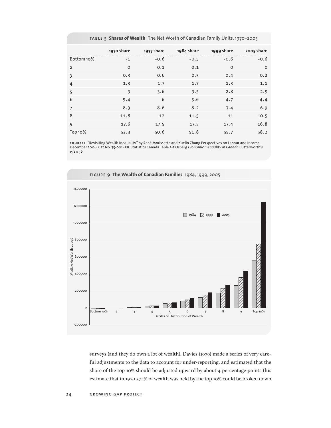|                | 1970 share   | 1977 share | 1984 share | 1999 share | 2005 share |
|----------------|--------------|------------|------------|------------|------------|
| Bottom 10%     | $-1$         | $-0.6$     | $-0.5$     | $-0.6$     | $-0.6$     |
| $\overline{2}$ | $\mathsf{o}$ | 0.1        | 0.1        | $\Omega$   | $\Omega$   |
| 3              | 0.3          | 0.6        | 0.5        | 0.4        | 0.2        |
| $\overline{4}$ | 1.3          | 1.7        | 1.7        | 1.3        | 1.1        |
| 5              | 3            | 3.6        | 3.5        | 2.8        | 2.5        |
| 6              | 5.4          | 6          | 5.6        | 4.7        | 4.4        |
| $\overline{7}$ | 8.3          | 8.6        | 8.2        | 7.4        | 6.9        |
| 8              | 11.8         | 12         | 11.5       | 11         | 10.5       |
| 9              | 17.6         | 17.5       | 17.5       | 17.4       | 16.8       |
| Top 10%        | 53.3         | 50.6       | 51.8       | 55.7       | 58.2       |

table 5 **Shares of Wealth** The Net Worth of Canadian Family Units, 1970–2005

**sources** "Revisiting Wealth Inequality" by René Morissette and Xuelin Zhang Perspectives on Labour and Income<br>December 2006, Cat.No. 75-001=XIE Statistics Canada Table 3-2 Osberg *Economic Inequality in Canada* Butterwort 1981: 36



surveys (and they do own a lot of wealth). Davies (1979) made a series of very careful adjustments to the data to account for under-reporting, and estimated that the share of the top 10% should be adjusted upward by about 4 percentage points (his estimate that in 1970 57.1% of wealth was held by the top 10% could be broken down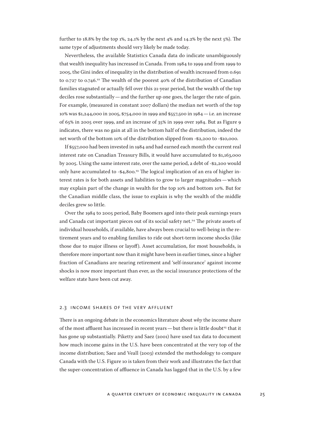further to 18.8% by the top 1%, 24.1% by the next 4% and 14.2% by the next 5%). The same type of adjustments should very likely be made today.

Nevertheless, the available Statistics Canada data do indicate unambiguously that wealth inequality has increased in Canada. From 1984 to 1999 and from 1999 to 2005, the Gini index of inequality in the distribution of wealth increased from 0.691 to 0.727 to 0.746.<sup>22</sup> The wealth of the poorest 40% of the distribution of Canadian families stagnated or actually fell over this 21-year period, but the wealth of the top deciles rose substantially—and the further up one goes, the larger the rate of gain. For example, (measured in constant 2007 dollars) the median net worth of the top 10% was \$1,244,000 in 2005, \$754,000 in 1999 and \$557,500 in 1984—i.e. an increase of 65% in 2005 over 1999, and an increase of 35% in 1999 over 1984. But as Figure 9 indicates, there was no gain at all in the bottom half of the distribution, indeed the net worth of the bottom 10% of the distribution slipped from -\$2,200 to -\$10,000.

If \$557,000 had been invested in 1984 and had earned each month the current real interest rate on Canadian Treasury Bills, it would have accumulated to \$1,163,000 by 2005. Using the same interest rate, over the same period, a debt of -\$2,200 would only have accumulated to -\$4,800.<sup>23</sup> The logical implication of an era of higher interest rates is for both assets and liabilities to grow to larger magnitudes—which may explain part of the change in wealth for the top 10% and bottom 10%. But for the Canadian middle class, the issue to explain is why the wealth of the middle deciles grew so little.

Over the 1984 to 2005 period, Baby Boomers aged into their peak earnings years and Canada cut important pieces out of its social safety net.<sup>24</sup> The private assets of individual households, if available, have always been crucial to well-being in the retirement years and to enabling families to ride out short-term income shocks (like those due to major illness or layoff). Asset accumulation, for most households, is therefore more important now than it might have been in earlier times, since a higher fraction of Canadians are nearing retirement and 'self-insurance' against income shocks is now more important than ever, as the social insurance protections of the welfare state have been cut away.

#### 2.3 income shares of the very affluent

There is an ongoing debate in the economics literature about *why* the income share of the most affluent has increased in recent years — but there is little doubt<sup>25</sup> that it has gone up substantially. Piketty and Saez (2001) have used tax data to document how much income gains in the U.S. have been concentrated at the very top of the income distribution; Saez and Veall (2003) extended the methodology to compare Canada with the U.S. Figure 10 is taken from their work and illustrates the fact that the super-concentration of affluence in Canada has lagged that in the U.S. by a few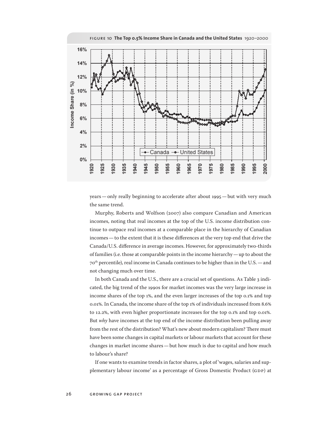

years—only really beginning to accelerate after about 1995—but with very much the same trend.

Murphy, Roberts and Wolfson (2007) also compare Canadian and American incomes, noting that real incomes at the top of the U.S. income distribution continue to outpace real incomes at a comparable place in the hierarchy of Canadian incomes—to the extent that it is these differences at the very top end that drive the Canada/U.S. difference in average incomes. However, for approximately two-thirds of families (i.e. those at comparable points in the income hierarchy—up to about the 70th percentile), real income in Canada continues to be higher than in the U.S.—and not changing much over time.

In both Canada and the U.S., there are a crucial set of questions. As Table 3 indicated, the big trend of the 1990s for market incomes was the very large increase in income shares of the top 1%, and the even larger increases of the top 0.1% and top 0.01%. In Canada, the income share of the top 1% of individuals increased from 8.6% to 12.2%, with even higher proportionate increases for the top 0.1% and top 0.01%. But *why* have incomes at the top end of the income distribution been pulling away from the rest of the distribution? What's new about modern capitalism? There must have been some changes in capital markets or labour markets that account for these changes in market income shares—but how much is due to capital and how much to labour's share?

If one wants to examine trends in factor shares, a plot of 'wages, salaries and supplementary labour income' as a percentage of Gross Domestic Product (GDP) at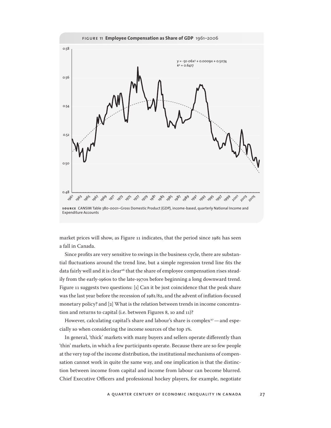

market prices will show, as Figure 11 indicates, that the period since 1981 has seen a fall in Canada.

Since profits are very sensitive to swings in the business cycle, there are substantial fluctuations around the trend line, but a simple regression trend line fits the data fairly well and it is clear<sup>26</sup> that the share of employee compensation rises steadily from the early-1960s to the late-1970s before beginning a long downward trend. Figure 11 suggests two questions: [1] Can it be just coincidence that the peak share was the last year before the recession of 1981/82, and the advent of inflation-focused monetary policy? and [2] What is the relation between trends in income concentration and returns to capital (i.e. between Figures 8, 10 and 11)?

However, calculating capital's share and labour's share is complex $27$  — and especially so when considering the income sources of the top 1%.

In general, 'thick' markets with many buyers and sellers operate differently than 'thin' markets, in which a few participants operate. Because there are so few people at the very top of the income distribution, the institutional mechanisms of compensation cannot work in quite the same way, and one implication is that the distinction between income from capital and income from labour can become blurred. Chief Executive Officers and professional hockey players, for example, negotiate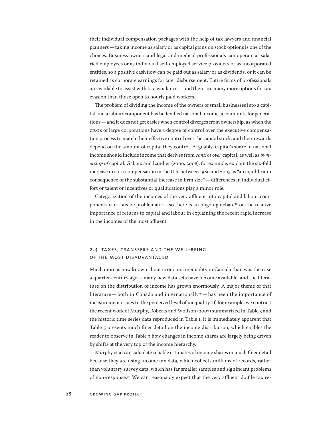their individual compensation packages with the help of tax lawyers and financial planners—taking income as salary or as capital gains on stock options is one of the choices. Business owners and legal and medical professionals can operate as salaried employees or as individual self-employed service providers or as incorporated entities, so a positive cash flow can be paid out as salary or as dividends, or it can be retained as corporate earnings for later disbursement. Entire firms of professionals are available to assist with tax avoidance—and there are many more options for tax evasion than those open to hourly paid workers.

The problem of dividing the income of the owners of small businesses into a capital and a labour component has bedevilled national income accountants for generations—and it does not get easier when control diverges from ownership, as when the CEOs of large corporations have a degree of control over the executive compensation process to match their effective control over the capital stock, and their rewards depend on the amount of capital they control. Arguably, capital's share in national income should include income that derives from *control over* capital, as well as *ownership of* capital. Gabaix and Landier (2006, 2008), for example, explain the six-fold increase in CEO compensation in the U.S. between 1980 and 2003 as "an equilibrium consequence of the substantial increase in firm size"—differences in individual effort or talent or incentives or qualifications play a minor role.

Categorization of the incomes of the very affluent into capital and labour components can thus be problematic — so there is an ongoing debate<sup>28</sup> on the relative importance of returns to capital and labour in explaining the recent rapid increase in the incomes of the most affluent.

### 2.4 taxes, transfers and the well-being of the most disadvantaged

Much more is now known about economic inequality in Canada than was the case a quarter century ago—many new data sets have become available, and the literature on the distribution of income has grown enormously. A major theme of that literature—both in Canada and internationally<sup>29</sup>—has been the importance of measurement issues to the perceived level of inequality. If, for example, we contrast the recent work of Murphy, Roberts and Wolfson (2007) summarized in Table 3 and the historic time series data reproduced in Table 1, it is immediately apparent that Table 3 presents much finer detail on the income distribution, which enables the reader to observe in Table 3 how changes in income shares are largely being driven by shifts at the very top of the income hierarchy.

Murphy et al can calculate reliable estimates of income shares in much finer detail because they are using income tax data, which collects millions of records, rather than voluntary survey data, which has far smaller samples and significant problems of non-response.30 We can reasonably expect that the very affluent do file tax re-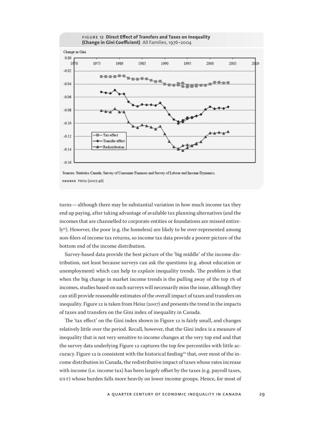

Sources: Statistics Canada, Survey of Consumer Finances and Survey of Labour and Income Dynamics. **source** Heisz (2007:46)

turns—although there may be substantial variation in how much income tax they end up paying, after taking advantage of available tax planning alternatives (and the incomes that are channelled to corporate entities or foundations are missed entire- $\mathbf{I}$ y<sup>31</sup>). However, the poor (e.g. the homeless) are likely to be over-represented among non-filers of income tax returns, so income tax data provide a poorer picture of the bottom end of the income distribution.

Survey-based data provide the best picture of the 'big middle' of the income distribution, not least because surveys can ask the questions (e.g. about education or unemployment) which can help to *explain* inequality trends. The problem is that when the big change in market income trends is the pulling away of the top 1% of incomes, studies based on such surveys will necessarily miss the issue, although they can still provide reasonable estimates of the overall impact of taxes and transfers on inequality. Figure 12 is taken from Heisz (2007) and presents the trend in the impacts of taxes and transfers on the Gini index of inequality in Canada.

The 'tax effect' on the Gini index shown in Figure 12 is fairly small, and changes relatively little over the period. Recall, however, that the Gini index is a measure of inequality that is not very sensitive to income changes at the very top end and that the survey data underlying Figure 12 captures the top few percentiles with little accuracy. Figure 12 is consistent with the historical finding<sup>32</sup> that, over most of the income distribution in Canada, the redistributive impact of taxes whose rates increase with income (i.e. income tax) has been largely offset by the taxes (e.g. payroll taxes, GST) whose burden falls more heavily on lower income groups. Hence, for most of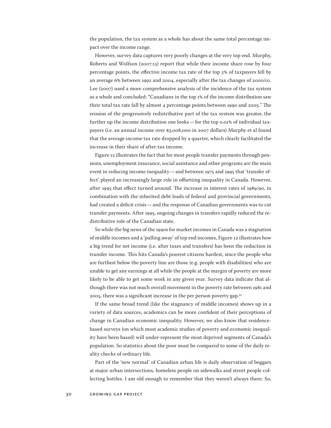the population, the tax system as a whole has about the same total percentage impact over the income range.

However, survey data captures very poorly changes at the very top end. Murphy, Roberts and Wolfson (2007:15) report that while their income share rose by four percentage points, the effective income tax rate of the top 5% of taxpayers fell by an average 6% between 1992 and 2004, especially after the tax changes of 2000/01. Lee (2007) used a more comprehensive analysis of the incidence of the tax system as a whole and concluded: "Canadians in the top 1% of the income distribution saw their total tax rate fall by almost 4 percentage points between 1990 and 2005." The erosion of the progressively redistributive part of the tax system was greater, the further up the income distribution one looks—for the top 0.01% of individual taxpayers (i.e. an annual income over \$3,008,000 in 2007 dollars) Murphy et al found that the average income tax rate dropped by a quarter, which clearly facilitated the increase in their share of after-tax income.

Figure 12 illustrates the fact that for most people transfer payments through pensions, unemployment insurance, social assistance and other programs are the main event in reducing income inequality—and between 1975 and 1995 that 'transfer effect' played an increasingly large role in offsetting inequality in Canada. However, after 1995 that effect turned around. The increase in interest rates of 1989/90, in combination with the inherited debt loads of federal and provincial governments, had created a deficit crisis—and the response of Canadian governments was to cut transfer payments. After 1995, ongoing changes in transfers rapidly reduced the redistributive role of the Canadian state.

So while the big news of the 1990s for market incomes in Canada was a stagnation of middle incomes and a 'pulling away' of top end incomes, Figure 12 illustrates how a big trend for net income (i.e. after taxes and transfers) has been the reduction in transfer income. This hits Canada's poorest citizens hardest, since the people who are furthest below the poverty line are those (e.g. people with disabilities) who are unable to get any earnings at all while the people at the margin of poverty are more likely to be able to get some work in any given year. Survey data indicate that although there was not much overall movement in the poverty rate between 1981 and 2005, there was a significant increase in the per person poverty gap.<sup>33</sup>

If the same broad trend (like the stagnancy of middle incomes) shows up in a variety of data sources, academics can be more confident of their perceptions of change in Canadian economic inequality. However, we also know that residencebased surveys (on which most academic studies of poverty and economic inequality have been based) will under-represent the most deprived segments of Canada's population. So statistics about the poor must be compared to some of the daily reality checks of ordinary life.

Part of the 'new normal' of Canadian urban life is daily observation of beggars at major urban intersections, homeless people on sidewalks and street people collecting bottles. I am old enough to remember that they weren't always there. So,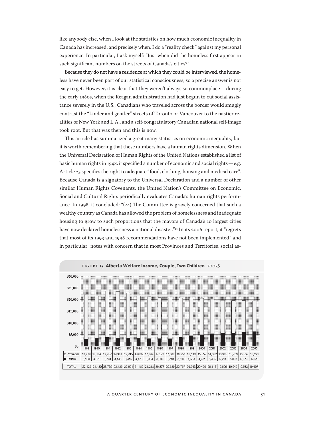like anybody else, when I look at the statistics on how much economic inequality in Canada has increased, and precisely when, I do a "reality check" against my personal experience. In particular, I ask myself: "Just when did the homeless first appear in such significant numbers on the streets of Canada's cities?"

Because they do not have a residence at which they could be interviewed, the homeless have never been part of our statistical consciousness, so a precise answer is not easy to get. However, it is clear that they weren't always so commonplace—during the early 1980s, when the Reagan administration had just begun to cut social assistance severely in the U.S., Canadians who traveled across the border would smugly contrast the "kinder and gentler" streets of Toronto or Vancouver to the nastier realities of New York and L.A., and a self-congratulatory Canadian national self-image took root. But that was then and this is now.

This article has summarized a great many statistics on economic inequality, but it is worth remembering that these numbers have a human rights dimension. When the Universal Declaration of Human Rights of the United Nations established a list of basic human rights in 1948, it specified a number of economic and social rights—e.g. Article 25 specifies the right to adequate "food, clothing, housing and medical care". Because Canada is a signatory to the Universal Declaration and a number of other similar Human Rights Covenants, the United Nation's Committee on Economic, Social and Cultural Rights periodically evaluates Canada's human rights performance. In 1998, it concluded: "(24) The Committee is gravely concerned that such a wealthy country as Canada has allowed the problem of homelessness and inadequate housing to grow to such proportions that the mayors of Canada's 10 largest cities have now declared homelessness a national disaster."<sup>34</sup> In its 2006 report, it "regrets that most of its 1993 and 1998 recommendations have not been implemented" and in particular "notes with concern that in most Provinces and Territories, social as-

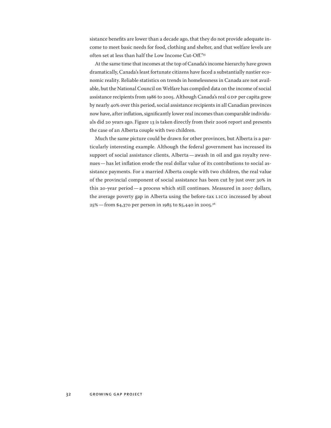sistance benefits are lower than a decade ago, that they do not provide adequate income to meet basic needs for food, clothing and shelter, and that welfare levels are often set at less than half the Low Income Cut-Off."<sup>35</sup>

At the same time that incomes at the top of Canada's income hierarchy have grown dramatically, Canada's least fortunate citizens have faced a substantially nastier economic reality. Reliable statistics on trends in homelessness in Canada are not available, but the National Council on Welfare has compiled data on the income of social assistance recipients from 1986 to 2005. Although Canada's real GDP per capita grew by nearly 40% over this period, social assistance recipients in all Canadian provinces now have, after inflation, significantly lower real incomes than comparable individuals did 20 years ago. Figure 13 is taken directly from their 2006 report and presents the case of an Alberta couple with two children.

Much the same picture could be drawn for other provinces, but Alberta is a particularly interesting example. Although the federal government has increased its support of social assistance clients, Alberta—awash in oil and gas royalty revenues—has let inflation erode the real dollar value of its contributions to social assistance payments. For a married Alberta couple with two children, the real value of the provincial component of social assistance has been cut by just over 30% in this 20-year period—a process which still continues. Measured in 2007 dollars, the average poverty gap in Alberta using the before-tax LICO increased by about 25%—from \$4,370 per person in 1985 to \$5,440 in 2005.36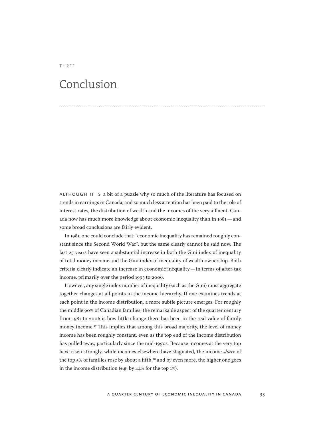### Conclusion

three

although it is a bit of a puzzle why so much of the literature has focused on trends in earnings in Canada, and so much less attention has been paid to the role of interest rates, the distribution of wealth and the incomes of the very affluent, Canada now has much more knowledge about economic inequality than in 1981—and some broad conclusions are fairly evident.

In 1981, one could conclude that: "economic inequality has remained roughly constant since the Second World War", but the same clearly cannot be said now. The last 25 years have seen a substantial increase in both the Gini index of inequality of total money income and the Gini index of inequality of wealth ownership. Both criteria clearly indicate an increase in economic inequality—in terms of after-tax income, primarily over the period 1995 to 2006.

However, any single index number of inequality (such as the Gini) must aggregate together changes at all points in the income hierarchy. If one examines trends at each point in the income distribution, a more subtle picture emerges. For roughly the middle 90% of Canadian families, the remarkable aspect of the quarter century from 1981 to 2006 is how little change there has been in the real value of family money income.<sup>37</sup> This implies that among this broad majority, the level of money income has been roughly constant, even as the top end of the income distribution has pulled away, particularly since the mid-1990s. Because incomes at the very top have risen strongly, while incomes elsewhere have stagnated, the income *share* of the top  $5\%$  of families rose by about a fifth, $38$  and by even more, the higher one goes in the income distribution (e.g. by 44% for the top 1%).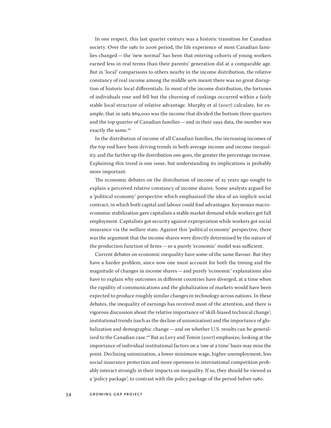In one respect, this last quarter century was a historic transition for Canadian society. Over the 1981 to 2006 period, the life experience of most Canadian families changed—the 'new normal' has been that entering cohorts of young workers earned less in real terms than their parents' generation did at a comparable age. But in 'local' comparisons to others nearby in the income distribution, the relative constancy of real income among the middle 90% meant there was no great disruption of historic local differentials. In most of the income distribution, the fortunes of individuals rose and fell but the churning of rankings occurred within a fairly stable local structure of relative advantage. Murphy et al (2007) calculate, for example, that in 1982 \$69,000 was the income that divided the bottom three quarters and the top quarter of Canadian families—and in their 1992 data, the number was exactly the same.<sup>39</sup>

In the distribution of income of all Canadian families, the increasing incomes of the top end have been driving trends in both average income and income inequality, and the farther up the distribution one goes, the greater the percentage increase. Explaining this trend is one issue, but understanding its implications is probably more important.

The economic debates on the distribution of income of 25 years ago sought to explain a perceived relative constancy of income shares. Some analysts argued for a 'political economy' perspective which emphasized the idea of an implicit social contract, in which both capital and labour could find advantages. Keynesian macroeconomic stabilization gave capitalists a stable market demand while workers got full employment. Capitalists got security against expropriation while workers got social insurance via the welfare state. Against this 'political economy' perspective, there was the argument that the income shares were directly determined by the nature of the production function of firms—so a purely 'economic' model was sufficient.

Current debates on economic inequality have some of the same flavour. But they have a harder problem, since now one must account for both the timing and the magnitude of changes in income shares—and purely 'economic' explanations also have to explain why outcomes in different countries have diverged, at a time when the rapidity of communications and the globalization of markets would have been expected to produce roughly similar changes in technology across nations. In these debates, the inequality of earnings has received most of the attention, and there is vigorous discussion about the relative importance of 'skill-biased technical change', institutional trends (such as the decline of unionization) and the importance of globalization and demographic change—and on whether U.S. results can be generalized to the Canadian case.<sup>40</sup> But as Levy and Temin (2007) emphasize, looking at the importance of individual institutional factors on a 'one at a time' basis may miss the point. Declining unionization, a lower minimum wage, higher unemployment, less social insurance protection and more openness to international competition probably interact strongly in their impacts on inequality. If so, they should be viewed as a 'policy package', to contrast with the policy package of the period before 1980.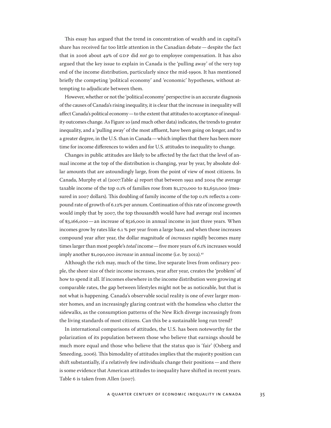This essay has argued that the trend in concentration of wealth and in capital's share has received far too little attention in the Canadian debate—despite the fact that in 2006 about 49% of GDP did *not* go to employee compensation. It has also argued that the key issue to explain in Canada is the 'pulling away' of the very top end of the income distribution, particularly since the mid-1990s. It has mentioned briefly the competing 'political economy' and 'economic' hypotheses, without attempting to adjudicate between them.

However, whether or not the 'political economy' perspective is an accurate diagnosis of the causes of Canada's rising inequality, it is clear that the increase in inequality will affect Canada's political economy—to the extent that attitudes to acceptance of inequality outcomes change. As Figure 10 (and much other data) indicates, the trends to greater inequality, and a 'pulling away' of the most affluent, have been going on longer, and to a greater degree, in the U.S. than in Canada—which implies that there has been more time for income differences to widen and for U.S. attitudes to inequality to change.

Changes in public attitudes are likely to be affected by the fact that the level of annual income at the top of the distribution is changing, year by year, by absolute dollar amounts that are astoundingly large, from the point of view of most citizens. In Canada, Murphy et al (2007:Table 4) report that between 1992 and 2004 the average taxable income of the top 0.1% of families rose from \$1,270,000 to \$2,650,000 (measured in 2007 dollars). This doubling of family income of the top 0.1% reflects a compound rate of growth of 6.12% per annum. Continuation of this rate of income growth would imply that by 2007, the top thousandth would have had average real incomes of \$3,166,000—an increase of \$516,000 in annual income in just three years. When incomes grow by rates like 6.1 % per year from a large base, and when those increases compound year after year, the dollar magnitude of *increases* rapidly becomes many times larger than most people's *total* income—five more years of 6.1% increases would imply another \$1,090,000 *increase* in annual income (i.e. by 2012).<sup>41</sup>

Although the rich may, much of the time, live separate lives from ordinary people, the sheer size of their income increases, year after year, creates the 'problem' of how to spend it all. If incomes elsewhere in the income distribution were growing at comparable rates, the gap between lifestyles might not be as noticeable, but that is not what is happening. Canada's observable social reality is one of ever larger monster homes, and an increasingly glaring contrast with the homeless who clutter the sidewalks, as the consumption patterns of the New Rich diverge increasingly from the living standards of most citizens. Can this be a sustainable long run trend?

In international comparisons of attitudes, the U.S. has been noteworthy for the polarization of its population between those who believe that earnings should be much more equal and those who believe that the status quo is 'fair' (Osberg and Smeeding, 2006). This bimodality of attitudes implies that the majority position can shift substantially, if a relatively few individuals change their positions—and there is some evidence that American attitudes to inequality have shifted in recent years. Table 6 is taken from Allen (2007).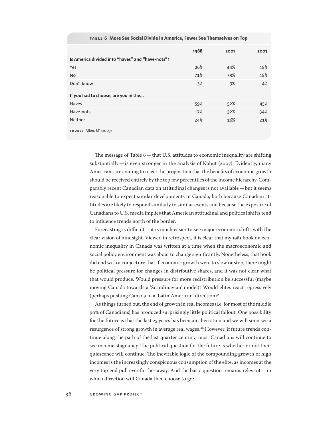|                                                  | 1988 | 2001 | 2007 |
|--------------------------------------------------|------|------|------|
| Is America divided into "haves" and "have-nots"? |      |      |      |
| Yes                                              | 26%  | 44%  | 48%  |
| <b>No</b>                                        | 71%  | 53%  | 48%  |
| Don't know                                       | 3%   | 3%   | 4%   |
| If you had to choose, are you in the             |      |      |      |
| Haves                                            | 59%  | 52%  | 45%  |
| Have-nots                                        | 17%  | 32%  | 34%  |
| Neither                                          | 24%  | 16%  | 21%  |
|                                                  |      |      |      |

### table 6 **More See Social Divide in America, Fewer See Themselves on Top**

**source** Allen, J.T. (2007)

The message of Table 6—that U.S. attitudes to economic inequality are shifting substantially—is even stronger in the analysis of Kohut (2007). Evidently, many Americans are coming to reject the proposition that the benefits of economic growth should be received entirely by the top few percentiles of the income hierarchy. Comparably recent Canadian data on attitudinal changes is not available—but it seems reasonable to expect similar developments in Canada, both because Canadian attitudes are likely to respond similarly to similar events and because the exposure of Canadians to U.S. media implies that American attitudinal and political shifts tend to influence trends north of the border.

Forecasting is difficult—it is much easier to see major economic shifts with the clear vision of hindsight. Viewed in retrospect, it is clear that my 1981 book on economic inequality in Canada was written at a time when the macroeconomic and social policy environment was about to change significantly. Nonetheless, that book did end with a conjecture that if economic growth were to slow or stop, there might be political pressure for changes in distributive shares, and it was not clear what that would produce. Would pressure for more redistribution be successful (maybe moving Canada towards a 'Scandinavian' model)? Would elites react repressively (perhaps pushing Canada in a 'Latin American' direction)?

As things turned out, the end of growth in real incomes (i.e. for most of the middle 90% of Canadians) has produced surprisingly little political fallout. One possibility for the future is that the last 25 years has been an aberration and we will soon see a resurgence of strong growth in average real wages.42 However, if future trends continue along the path of the last quarter century, most Canadians will continue to see income stagnancy. The political question for the future is whether or not their quiescence will continue. The inevitable logic of the compounding growth of high incomes is the increasingly conspicuous consumption of the elite, as incomes at the very top end pull ever farther away. And the basic question remains relevant—in which direction will Canada then choose to go?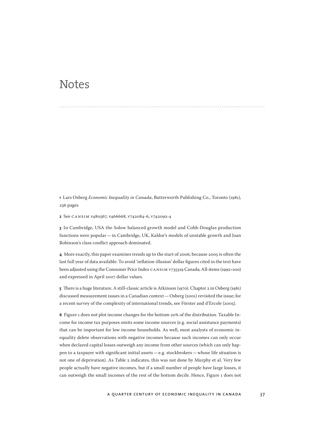### **Notes**

**1** Lars Osberg *Economic Inequality in Canada*, Butterworth Publishing Co., Toronto (1981), 236 pages

**2** See CANSIM v480567, v466668, v742084-6, v742092-4

**3** In Cambridge, USA the Solow balanced growth model and Cobb-Douglas production functions were popular—in Cambridge, UK, Kaldor's models of unstable growth and Joan Robinson's class conflict approach dominated.

**4** More exactly, this paper examines trends up to the start of 2006, because 2005 is often the last full year of data available. To avoid 'inflation-illusion' dollar figures cited in the text have been adjusted using the Consumer Price Index CANSIM v735319 Canada; All-items (1992=100) and expressed in April 2007 dollar values.

**5** There is a huge literature. A still-classic article is Atkinson (1970). Chapter 2 in Osberg (1981) discussed measurement issues in a Canadian context—Osberg (2001) revisited the issue; for a recent survey of the complexity of international trends, see Förster and d'Ercole (2005).

**6** Figure 1 does not plot income changes for the bottom 20% of the distribution. Taxable Income for income tax purposes omits some income sources (e.g. social assistance payments) that can be important for low income households. As well, most analysts of economic inequality delete observations with negative incomes because such incomes can only occur when declared capital losses outweigh any income from other sources (which can only happen to a taxpayer with significant initial assets—e.g. stockbrokers—whose life situation is not one of deprivation). As Table 2 indicates, this was not done by Murphy et al. Very few people actually have negative incomes, but if a small number of people have large losses, it can outweigh the small incomes of the rest of the bottom decile. Hence, Figure 1 does not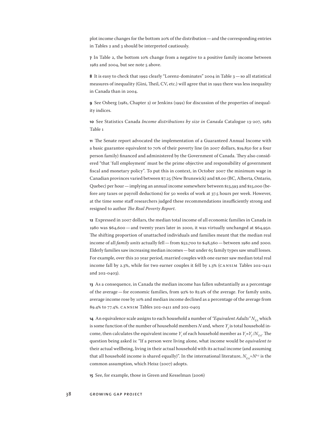plot income changes for the bottom 20% of the distribution—and the corresponding entries in Tables 2 and 3 should be interpreted cautiously.

**7** In Table 2, the bottom 10% change from a negative to a positive family income between 1982 and 2004, but see note 5 above.

**8** It is easy to check that 1992 clearly "Lorenz-dominates" 2004 in Table 3—so all statistical measures of inequality (Gini, Theil, CV, etc.) will agree that in 1992 there was less inequality in Canada than in 2004.

**9** See Osberg (1981, Chapter 2) or Jenkins (1991) for discussion of the properties of inequality indices.

**10** See Statistics Canada *Income distributions by size in Canada* Catalogue 13-207, 1982 Table 1

**11** The Senate report advocated the implementation of a Guaranteed Annual Income with a basic guarantee equivalent to 70% of their poverty line (in 2007 dollars, \$19,850 for a four person family) financed and administered by the Government of Canada. They also considered "that 'full employment' must be the prime objective and responsibility of government fiscal and monetary policy". To put this in context, in October 2007 the minimum wage in Canadian provinces varied between \$7.25 (New Brunswick) and \$8.00 (BC, Alberta, Ontario, Quebec) per hour—implying an annual income somewhere between \$13,593 and \$15,000 (before any taxes or payroll deductions) for 50 weeks of work at 37.5 hours per week. However, at the time some staff researchers judged these recommendations insufficiently strong and resigned to author *The Real Poverty Report*.

**12** Expressed in 2007 dollars, the median total income of all economic families in Canada in 1980 was \$64,600—and twenty years later in 2000, it was virtually unchanged at \$64,950. The shifting proportion of unattached individuals and families meant that the median real income of all *family units* actually fell—from \$52,700 to \$48,560—between 1980 and 2000. Elderly families saw increasing median incomes—but under 65 family types saw small losses. For example, over this 20 year period, married couples with one earner saw median total real income fall by 2.3%, while for two earner couples it fell by 1.3% (CANSIM Tables 202-0411 and 202-0403).

**13** As a consequence, in Canada the median income has fallen substantially as a percentage of the average—for economic families, from 92% to 82.9% of the average. For family units, average income rose by 10% and median income declined as a percentage of the average from 89.4% to 77.4%. CANSIM Tables 202-0411 and 202-0403

**14** An equivalence scale assigns to each household a number of *"Equivalent Adults" N*<sub>FA</sub> which is some function of the number of household members  $N$  and, where  $Y_{\!f}$  is total household income, then calculates the equivalent income  $Y_i$  of each household member as  $Y_i = Y_f/N_{EA}$ . The question being asked is: "If a person were living alone, what income would be *equivalent to*  their actual wellbeing, living in their actual household with its actual income (and assuming that all household income is shared equally)". In the international literature,  $N_{EA} = N^{0.5}$  is the common assumption, which Heisz (2007) adopts.

**15** See, for example, those in Green and Kesselman (2006)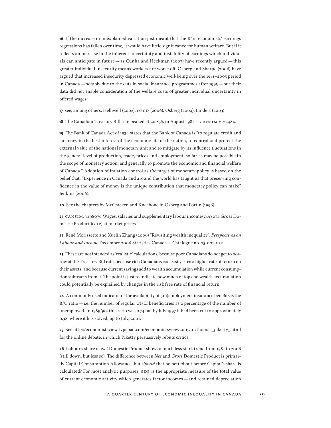**16** If the increase in unexplained variation just meant that the  $\mathbb{R}^2$  in economists' earnings regressions has fallen over time, it would have little significance for human welfare. But if it reflects an increase in the inherent uncertainty and instability of earnings which individuals can anticipate in future—as Cunha and Heckman  $(2007)$  have recently argued—this greater individual insecurity means workers are worse off. Osberg and Sharpe (2006) have argued that increased insecurity depressed economic well-being over the 1981–2005 period in Canada—notably due to the cuts in social insurance programmes after 1995—but their data did not enable consideration of the welfare costs of greater individual uncertainty in offered wages.

**17** see, among others, Helliwell (2002), OECD (2006), Osberg (2004), Lindert (2003)

**18** The Canadian Treasury Bill rate peaked at 20.85% in August 1981—CANSIM v122484.

**19** The Bank of Canada Act of 1934 states that the Bank of Canada is "to regulate credit and currency in the best interest of the economic life of the nation, to control and protect the external value of the national monetary unit and to mitigate by its influence fluctuations in the general level of production, trade, prices and employment, so far as may be possible in the scope of monetary action, and generally to promote the economic and financial welfare of Canada." Adoption of inflation control as *the* target of monetary policy is based on the belief that: "Experience in Canada and around the world has taught us that preserving confidence in the value of money is the unique contribution that monetary policy can make" Jenkins (2006).

**20** See the chapters by McCracken and Kneebone in Osberg and Fortin (1996).

**21** CANSIM: v498076 Wages, salaries and supplementary labour income/v498074 Gross Domestic Product (GDP) at market prices

**22** René Morissette and Xuelin Zhang (2006) "Revisiting wealth inequality", *Perspectives on Labour and Income* December 2006 Statistics Canada—Catalogue no. 75-001-XIE.

**23** These are not intended as 'realistic' calculations, because poor Canadians do not get to borrow at the Treasury Bill rate, because rich Canadians can easily earn a higher rate of return on their assets, and because current savings add to wealth accumulation while current consumption subtracts from it. The point is just to indicate how much of top end wealth accumulation could potentially be explained by changes in the risk free rate of financial return.

**24** A commonly used indicator of the availability of (un)employment insurance benefits is the B/U ratio—i.e. the number of regular UI/EI beneficiaries as a percentage of the number of unemployed. In 1989/90, this ratio was 0.74 but by July 1997 it had been cut to approximately 0.38, where it has stayed, up to July, 2007.

**25** See http://economistsview.typepad.com/economistsview/2007/01/thomas\_piketty\_.html for the online debate, in which Piketty persuasively rebuts critics.

**26** Labour's share of *Net* Domestic Product shows a much less stark trend from 1981 to 2006 (still down, but less so). The difference between *Net* and *Gross* Domestic Product is primarily Capital Consumption Allowance, but *should* that be netted out before Capital's share is calculated? For most analytic purposes, GDP is the appropriate measure of the total value of current economic activity which generates factor incomes—and retained depreciation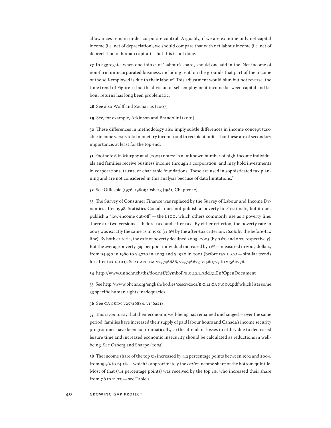allowances remain under corporate control. Arguably, if we are examine only net capital income (i.e. net of depreciation), we should compare that with net labour income (i.e. net of depreciation of human capital)—but this is not done.

**27** In aggregate, when one thinks of 'Labour's share', should one add in the 'Net income of non-farm unincorporated business, including rent' on the grounds that part of the income of the self-employed is due to their labour? This adjustment would blur, but not reverse, the time trend of Figure 11 but the division of self-employment income between capital and labour returns has long been problematic.

**28** See also Wolff and Zacharias (2007).

**29** See, for example, Atkinson and Brandolini (2001).

**30** These differences in methodology also imply subtle differences in income concept (taxable income versus total monetary income) and in recipient unit—but these are of secondary importance, at least for the top end.

**31** Footnote 6 in Murphy at al (2007) notes: "An unknown number of high-income individuals and families receive business income through a corporation, and may hold investments in corporations, trusts, or charitable foundations. These are used in sophisticated tax planning and are not considered in this analysis because of data limitations."

**32** See Gillespie (1976, 1980); Osberg (1981; Chapter 12).

**33** The Survey of Consumer Finance was replaced by the Survey of Labour and Income Dynamics after 1998. Statistics Canada does not publish a 'poverty line' estimate, but it does publish a "low-income cut-off"—the LICO, which others commonly use as a poverty line. There are two versions—'before-tax' and 'after tax'. By either criterion, the poverty rate in 2003 was exactly the same as in 1980 (11.6% by the after-tax criterion, 16.0% by the before-tax line). By both criteria, the *rate* of poverty declined 2003–2005 (by 0.8% and 0.7% respectively). But the average poverty gap per poor individual increased by 11%—measured in 2007 dollars, from \$4490 in 1980 to \$4,770 in 2003 and \$4920 in 2005 (before tax LICO  $-$  similar trends for after tax LICO). See CANSIM v25746686, v25746677, v1560773 to v1560776.

**34** http://www.unhchr.ch/tbs/doc.nsf/(Symbol)/E.C.12.1.Add.31.En?OpenDocument

**35** See http://www.ohchr.org/english/bodies/cescr/docs/E.C.12.CAN.CO.5.pdf which lists some 33 specific human rights inadequacies.

**36** See CANSIM v25746884, v1562218.

**37** This is *not* to say that their economic well-being has remained unchanged—over the same period, families have increased their supply of paid labour hours and Canada's income security programmes have been cut dramatically, so the attendant losses in utility due to decreased leisure time and increased economic insecurity should be calculated as reductions in wellbeing. See Osberg and Sharpe (2005).

**38** The income share of the top 5% increased by 4.2 percentage points between 1992 and 2004, from 19.9% to 24.1%—which is approximately the *entire* income share of the bottom quintile. Most of that (3.4 percentage points) was received by the top 1%, who increased their share from 7.8 to 11.2%—see Table 3.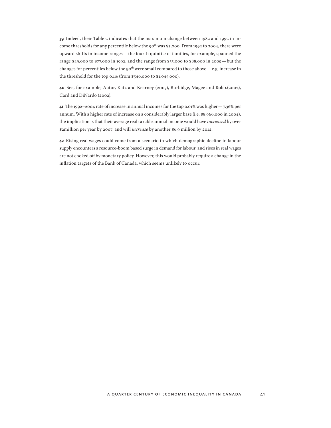**39** Indeed, their Table 2 indicates that the maximum change between 1982 and 1992 in income thresholds for any percentile below the 90<sup>th</sup> was \$3,000. From 1992 to 2004, there were upward shifts in income ranges—the fourth quintile of families, for example, spanned the range \$49,000 to \$77,000 in 1992, and the range from \$55,000 to \$88,000 in 2005—but the changes for percentiles below the 90<sup>th</sup> were small compared to those above — e.g. increase in the threshold for the top 0.1% (from \$546,000 to \$1,045,000).

**40** See, for example, Autor, Katz and Kearney (2005), Burbidge, Magee and Robb.(2002), Card and DiNardo (2002).

**41** The 1992–2004 rate of increase in annual incomes for the top 0.01% was higher—7.36% per annum. With a higher rate of increase on a considerably larger base (i.e. \$8,966,000 in 2004), the implication is that their average real taxable annual income would have *increased* by over \$2million per year by 2007, and will *increase* by another \$6.9 million by 2012.

**42** Rising real wages could come from a scenario in which demographic decline in labour supply encounters a resource-boom based surge in demand for labour, and rises in real wages are not choked off by monetary policy. However, this would probably require a change in the inflation targets of the Bank of Canada, which seems unlikely to occur.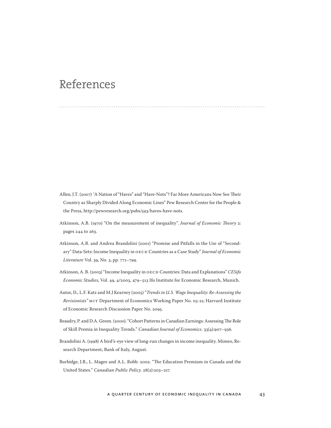### References

- Allen, J.T. (2007) "A Nation of "Haves" and "Have-Nots"? Far More Americans Now See Their Country as Sharply Divided Along Economic Lines" Pew Research Center for the People & the Press, http://pewresearch.org/pubs/593/haves-have-nots.
- Atkinson, A.B. (1970) "On the measurement of inequality". *Journal of Economic Theory* 2: pages 244 to 263.
- Atkinson, A.B. and Andrea Brandolini (2001) "Promise and Pitfalls in the Use of "Secondary" Data-Sets: Income Inequality in OECD Countries as a Case Study" *Journal of Economic Literature* Vol. 39, No. 3, pp. 771–799.
- Atkinson, A. B. (2003) "Income Inequality in OECD Countries: Data and Explanations" *CESifo Economic Studies*, Vol. 49, 4/2003, 479–513 Ifo Institute for Economic Research, Munich.
- Autor, D., L.F. Katz and M.J Kearney (2005) "*Trends in U.S. Wage Inequality: Re-Assessing the Revisionists"* MIT Department of Economics Working Paper No. 05-21; Harvard Institute of Economic Research Discussion Paper No. 2095.
- Beaudry, P. and D.A. Green. (2000). "Cohort Patterns in Canadian Earnings: Assessing The Role of Skill Premia in Inequality Trends." *Canadian Journal of Economics.* 33(4):907–936.
- Brandolini A. (1998) A bird's-eye view of long-run changes in income inequality. Mimeo, Research Department, Bank of Italy, August.
- Burbidge, J.B., L. Magee and A.L. Robb. 2002. "The Education Premium in Canada and the United States." *Canadian Public Policy.* 28(2):203–217.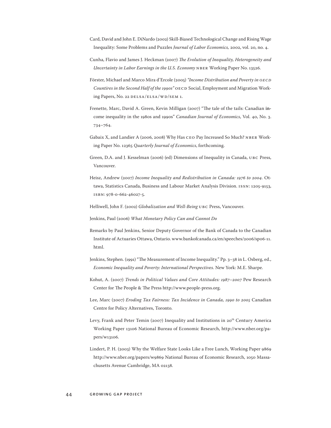- Card, David and John E. DiNardo (2002) Skill-Biased Technological Change and Rising Wage Inequality: Some Problems and Puzzles *Journal of Labor Economics,* 2002, vol. 20, no. 4.
- Cunha, Flavio and James J. Heckman (2007) *The Evolution of Inequality, Heterogeneity and Uncertainty in Labor Earnings in the U.S. Economy NBER Working Paper No. 13526.*
- Förster, Michael and Marco Mira d'Ercole (2005) *"Income Distribution and Poverty in OECD Countires in the Second Half of the 1990s"* OECD Social, Employment and Migration Working Papers, No. 22 DELSA/ELSA/WD/SEM 1.
- Frenette, Marc, David A. Green, Kevin Milligan (2007) "The tale of the tails: Canadian income inequality in the 1980s and 1990s" *Canadian Journal of Economics*, Vol. 40, No. 3. 734–764.
- Gabaix X, and Landier A (2006, 2008) Why Has CEO Pay Increased So Much? NBER Working Paper No. 12365 *Quarterly Journal of Economics*, forthcoming.
- Green, D.A. and J. Kesselman (2006) (ed) Dimensions of Inequality in Canada, UBC Press, Vancouver.
- Heisz, Andrew (2007) *Income Inequality and Redistribution in Canada: 1976 to 2004.* Ottawa, Statistics Canada, Business and Labour Market Analysis Division. ISSN: 1205-9153, ISBN: 978-0-662-46027-5.
- Helliwell, John F. (2002) *Globalization and Well-Being* UBC Press, Vancouver.
- Jenkins, Paul (2006) *What Monetary Policy Can and Cannot Do*
- Remarks by Paul Jenkins, Senior Deputy Governor of the Bank of Canada to the Canadian Institute of Actuaries Ottawa, Ontario. www.bankofcanada.ca/en/speeches/2006/sp06-11. html.
- Jenkins, Stephen. (1991) "The Measurement of Income Inequality." Pp. 3–38 in L. Osberg, ed., *Economic Inequality and Poverty: International Perspectives.* New York: M.E. Sharpe.
- Kohut, A. (2007) *Trends in Political Values and Core Attitudes: 1987–2007* Pew Research Center for The People & The Press http://www.people-press.org.
- Lee, Marc (2007) *Eroding Tax Fairness: Tax Incidence in Canada, 1990 to 2005* Canadian Centre for Policy Alternatives, Toronto.
- Levy, Frank and Peter Temin (2007) Inequality and Institutions in 20<sup>th</sup> Century America Working Paper 13106 National Bureau of Economic Research, http://www.nber.org/papers/w13106.
- Lindert, P. H. (2003) Why the Welfare State Looks Like a Free Lunch, Working Paper 9869 http://www.nber.org/papers/w9869 National Bureau of Economic Research, 1050 Massachusetts Avenue Cambridge, MA 02138.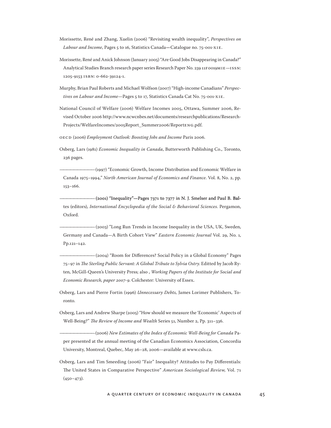- Morissette, René and Zhang, Xuelin (2006) "Revisiting wealth inequality", *Perspectives on Labour and Income*, Pages 5 to 16, Statistics Canada**—**Catalogue no. 75-001-XIE.
- Morissette, René and Anick Johnson (January 2005) "Are Good Jobs Disappearing in Canada?" Analytical Studies Branch research paper series Research Paper No. 239 11F0019MIE—ISSN: 1205-9153 ISBN: 0-662-39124-1.
- Murphy, Brian Paul Roberts and Michael Wolfson (2007) "High-income Canadians" *Perspectives on Labour and Income*—Pages 5 to 17, Statistics Canada Cat No. 75-001-XIE.
- National Council of Welfare (2006) Welfare Incomes 2005, Ottawa, Summer 2006, Revised October 2006 http://www.ncwcnbes.net/documents/researchpublications/Research-Projects/WelfareIncomes/2005Report\_Summer2006/ReportENG.pdf.

OECD (2006) *Employment Outlook: Boosting Jobs and Income* Paris 2006.

Osberg, Lars (1981) *Economic Inequality in Canada*, Butterworth Publishing Co., Toronto, 236 pages.

—————————— (1997) "Economic Growth, Income Distribution and Economic Welfare in Canada 1975–1994," *North American Journal of Economics and Finance*. Vol. 8, No. 2, pp. 153–166.

 $(2001)$  "Inequality"—Pages 7371 to 7377 in N. J. Smelser and Paul B. Baltes (editors), *International Encyclopedia of the Social & Behavioral Sciences*. Pergamon, Oxford.

-(2003) "Long Run Trends in Income Inequality in the USA, UK, Sweden, Germany and Canada—A Birth Cohort View" *Eastern Economic Journal* Vol. 29, No. 1, Pp.121–142.

Osberg, Lars and Pierre Fortin (1996) *Unnecessary Debts,* James Lorimer Publishers, Toronto.

Osberg, Lars and Andrew Sharpe (2005) "How should we measure the 'Economic' Aspects of Well-Being?" *The Review of Income and Wealth* Series 51, Number 2, Pp. 311–336.

—————————— (2006) *New Estimates of the Index of Economic Well-Being for Canada* Paper presented at the annual meeting of the Canadian Economics Association, Concordia University, Montreal, Quebec, May 26–28, 2006—available at www.csls.ca.

Osberg, Lars and Tim Smeeding (2006) "Fair" Inequality? Attitudes to Pay Differentials: The United States in Comparative Perspective" *American Sociological Review,* Vol. 71  $(450 - 473)$ .

<sup>(2004) &</sup>quot;Room for Differences? Social Policy in a Global Economy" Pages 75–97 in *The Sterling Public Servant: A Global Tribute to Sylvia Ostry*. Editted by Jacob Ryten, McGill-Queen's University Press; also , *Working Papers of the Institute for Social and Economic Research, paper 2007-9*. Colchester: University of Essex.